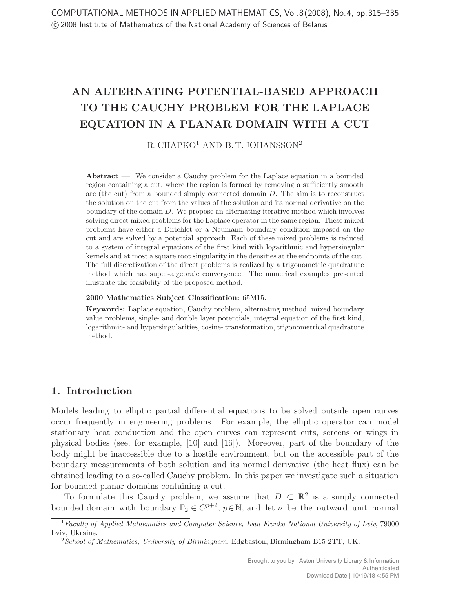# AN ALTERNATING POTENTIAL-BASED APPROACH TO THE CAUCHY PROBLEM FOR THE LAPLACE EQUATION IN A PLANAR DOMAIN WITH A CUT

 $R$ . CHAPKO<sup>1</sup> AND B. T. JOHANSSON<sup>2</sup>

Abstract — We consider a Cauchy problem for the Laplace equation in a bounded region containing a cut, where the region is formed by removing a sufficiently smooth arc (the cut) from a bounded simply connected domain  $D$ . The aim is to reconstruct the solution on the cut from the values of the solution and its normal derivative on the boundary of the domain D. We propose an alternating iterative method which involves solving direct mixed problems for the Laplace operator in the same region. These mixed problems have either a Dirichlet or a Neumann boundary condition imposed on the cut and are solved by a potential approach. Each of these mixed problems is reduced to a system of integral equations of the first kind with logarithmic and hypersingular kernels and at most a square root singularity in the densities at the endpoints of the cut. The full discretization of the direct problems is realized by a trigonometric quadrature method which has super-algebraic convergence. The numerical examples presented illustrate the feasibility of the proposed method.

#### 2000 Mathematics Subject Classification: 65M15.

Keywords: Laplace equation, Cauchy problem, alternating method, mixed boundary value problems, single- and double layer potentials, integral equation of the first kind, logarithmic- and hypersingularities, cosine- transformation, trigonometrical quadrature method.

### 1. Introduction

Models leading to elliptic partial differential equations to be solved outside open curves occur frequently in engineering problems. For example, the elliptic operator can model stationary heat conduction and the open curves can represent cuts, screens or wings in physical bodies (see, for example, [10] and [16]). Moreover, part of the boundary of the body might be inaccessible due to a hostile environment, but on the accessible part of the boundary measurements of both solution and its normal derivative (the heat flux) can be obtained leading to a so-called Cauchy problem. In this paper we investigate such a situation for bounded planar domains containing a cut.

To formulate this Cauchy problem, we assume that  $D \subset \mathbb{R}^2$  is a simply connected bounded domain with boundary  $\Gamma_2 \in C^{p+2}$ ,  $p \in \mathbb{N}$ , and let  $\nu$  be the outward unit normal

 $1$  Faculty of Applied Mathematics and Computer Science, Ivan Franko National University of Lviv, 79000 Lviv, Ukraine.

 $2$ School of Mathematics, University of Birmingham, Edgbaston, Birmingham B15 2TT, UK.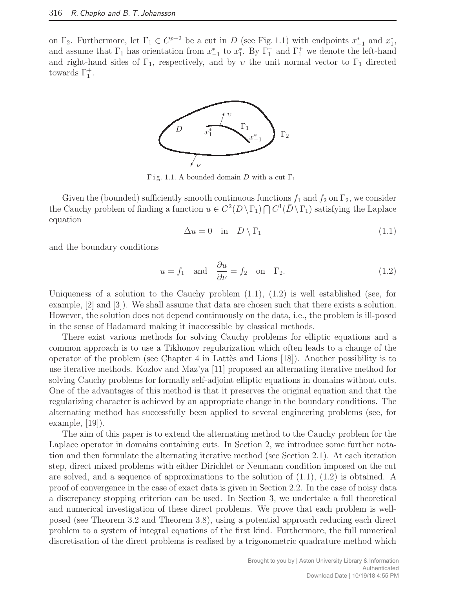on  $\Gamma_2$ . Furthermore, let  $\Gamma_1 \in C^{p+2}$  be a cut in D (see Fig. 1.1) with endpoints  $x_{-1}^*$  and  $x_1^*$ , and assume that  $\Gamma_1$  has orientation from  $x_{-1}^*$  to  $x_1^*$ . By  $\Gamma_1^-$  and  $\Gamma_1^+$  we denote the left-hand and right-hand sides of  $\Gamma_1$ , respectively, and by v the unit normal vector to  $\Gamma_1$  directed towards  $\Gamma_1^+$ .



Fig. 1.1. A bounded domain D with a cut  $\Gamma_1$ 

Given the (bounded) sufficiently smooth continuous functions  $f_1$  and  $f_2$  on  $\Gamma_2$ , we consider the Cauchy problem of finding a function  $u \in C^2(D \setminus \Gamma_1) \cap C^1(D \setminus \Gamma_1)$  satisfying the Laplace equation

$$
\Delta u = 0 \quad \text{in} \quad D \setminus \Gamma_1 \tag{1.1}
$$

and the boundary conditions

$$
u = f_1
$$
 and  $\frac{\partial u}{\partial \nu} = f_2$  on  $\Gamma_2$ . (1.2)

Uniqueness of a solution to the Cauchy problem  $(1.1)$ ,  $(1.2)$  is well established (see, for example, [2] and [3]). We shall assume that data are chosen such that there exists a solution. However, the solution does not depend continuously on the data, i.e., the problem is ill-posed in the sense of Hadamard making it inaccessible by classical methods.

There exist various methods for solving Cauchy problems for elliptic equations and a common approach is to use a Tikhonov regularization which often leads to a change of the operator of the problem (see Chapter 4 in Lattes and Lions  $[18]$ ). Another possibility is to use iterative methods. Kozlov and Maz'ya [11] proposed an alternating iterative method for solving Cauchy problems for formally self-adjoint elliptic equations in domains without cuts. One of the advantages of this method is that it preserves the original equation and that the regularizing character is achieved by an appropriate change in the boundary conditions. The alternating method has successfully been applied to several engineering problems (see, for example, [19]).

The aim of this paper is to extend the alternating method to the Cauchy problem for the Laplace operator in domains containing cuts. In Section 2, we introduce some further notation and then formulate the alternating iterative method (see Section 2.1). At each iteration step, direct mixed problems with either Dirichlet or Neumann condition imposed on the cut are solved, and a sequence of approximations to the solution of (1.1), (1.2) is obtained. A proof of convergence in the case of exact data is given in Section 2.2. In the case of noisy data a discrepancy stopping criterion can be used. In Section 3, we undertake a full theoretical and numerical investigation of these direct problems. We prove that each problem is wellposed (see Theorem 3.2 and Theorem 3.8), using a potential approach reducing each direct problem to a system of integral equations of the first kind. Furthermore, the full numerical discretisation of the direct problems is realised by a trigonometric quadrature method which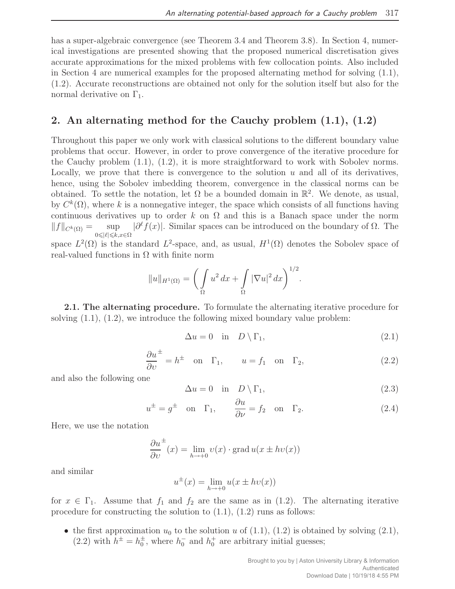has a super-algebraic convergence (see Theorem 3.4 and Theorem 3.8). In Section 4, numerical investigations are presented showing that the proposed numerical discretisation gives accurate approximations for the mixed problems with few collocation points. Also included in Section 4 are numerical examples for the proposed alternating method for solving (1.1), (1.2). Accurate reconstructions are obtained not only for the solution itself but also for the normal derivative on  $\Gamma_1$ .

## 2. An alternating method for the Cauchy problem (1.1), (1.2)

Throughout this paper we only work with classical solutions to the different boundary value problems that occur. However, in order to prove convergence of the iterative procedure for the Cauchy problem (1.1), (1.2), it is more straightforward to work with Sobolev norms. Locally, we prove that there is convergence to the solution  $u$  and all of its derivatives, hence, using the Sobolev imbedding theorem, convergence in the classical norms can be obtained. To settle the notation, let  $\Omega$  be a bounded domain in  $\mathbb{R}^2$ . We denote, as usual, by  $C^k(\Omega)$ , where k is a nonnegative integer, the space which consists of all functions having continuous derivatives up to order k on  $\Omega$  and this is a Banach space under the norm  $||f||_{C^k(\Omega)} = \sup$  $0 \leqslant |\ell| \leqslant k, x \in \Omega$  $|\partial^{\ell} f(x)|$ . Similar spaces can be introduced on the boundary of  $\Omega$ . The

space  $L^2(\Omega)$  is the standard  $L^2$ -space, and, as usual,  $H^1(\Omega)$  denotes the Sobolev space of real-valued functions in  $\Omega$  with finite norm

$$
||u||_{H^1(\Omega)} = \bigg(\int_{\Omega} u^2 dx + \int_{\Omega} |\nabla u|^2 dx\bigg)^{1/2}.
$$

2.1. The alternating procedure. To formulate the alternating iterative procedure for solving  $(1.1)$ ,  $(1.2)$ , we introduce the following mixed boundary value problem:

$$
\Delta u = 0 \quad \text{in} \quad D \setminus \Gamma_1,\tag{2.1}
$$

$$
\frac{\partial u^{\pm}}{\partial v} = h^{\pm} \quad \text{on} \quad \Gamma_1, \qquad u = f_1 \quad \text{on} \quad \Gamma_2,\tag{2.2}
$$

and also the following one

$$
\Delta u = 0 \quad \text{in} \quad D \setminus \Gamma_1,\tag{2.3}
$$

$$
u^{\pm} = g^{\pm}
$$
 on  $\Gamma_1$ ,  $\frac{\partial u}{\partial \nu} = f_2$  on  $\Gamma_2$ . (2.4)

Here, we use the notation

$$
\frac{\partial u^{\pm}}{\partial v}(x) = \lim_{h \to +0} v(x) \cdot \text{grad } u(x \pm hv(x))
$$

and similar

$$
u^{\pm}(x) = \lim_{h \to +0} u(x \pm hv(x))
$$

for  $x \in \Gamma_1$ . Assume that  $f_1$  and  $f_2$  are the same as in (1.2). The alternating iterative procedure for constructing the solution to  $(1.1)$ ,  $(1.2)$  runs as follows:

• the first approximation  $u_0$  to the solution u of (1.1), (1.2) is obtained by solving (2.1), (2.2) with  $h^{\pm} = h_0^{\pm}$ , where  $h_0^-$  and  $h_0^+$  are arbitrary initial guesses;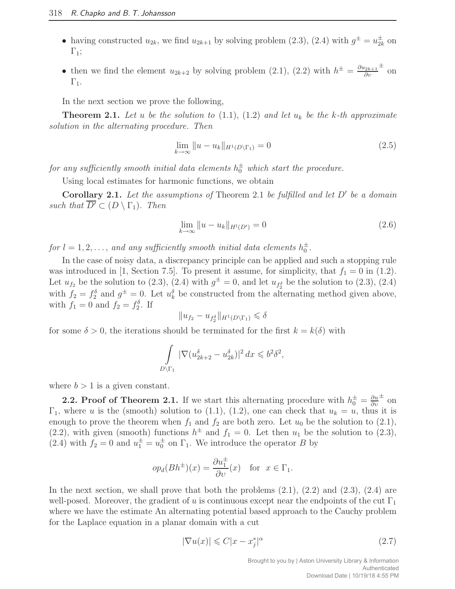- having constructed  $u_{2k}$ , we find  $u_{2k+1}$  by solving problem (2.3), (2.4) with  $g^{\pm} = u_{2k}^{\pm}$  $\frac{1}{2k}$  on  $\Gamma_1$ ;
- then we find the element  $u_{2k+2}$  by solving problem (2.1), (2.2) with  $h^{\pm} = \frac{\partial u_{2k+1}}{\partial v}$ ∂υ ± on  $\Gamma_1$ .

In the next section we prove the following,

**Theorem 2.1.** Let u be the solution to  $(1.1)$ ,  $(1.2)$  and let  $u_k$  be the k-th approximate solution in the alternating procedure. Then

$$
\lim_{k \to \infty} \|u - u_k\|_{H^1(D \setminus \Gamma_1)} = 0 \tag{2.5}
$$

for any sufficiently smooth initial data elements  $h_0^{\pm}$  which start the procedure.

Using local estimates for harmonic functions, we obtain

Corollary 2.1. Let the assumptions of Theorem 2.1 be fulfilled and let  $D'$  be a domain such that  $\overline{D'} \subset (D \setminus \Gamma_1)$ . Then

$$
\lim_{k \to \infty} \|u - u_k\|_{H^l(D)} = 0
$$
\n(2.6)

for  $l = 1, 2, \ldots$ , and any sufficiently smooth initial data elements  $h_0^{\pm}$ .

In the case of noisy data, a discrepancy principle can be applied and such a stopping rule was introduced in [1, Section 7.5]. To present it assume, for simplicity, that  $f_1 = 0$  in (1.2). Let  $u_{f_2}$  be the solution to (2.3), (2.4) with  $g^{\pm} = 0$ , and let  $u_{f_2^{\delta}}$  be the solution to (2.3), (2.4) with  $f_2 = f_2^{\delta}$  and  $g^{\pm} = 0$ . Let  $u_k^{\delta}$  be constructed from the alternating method given above, with  $f_1 = 0$  and  $f_2 = f_2^{\delta}$ . If

$$
||u_{f_2} - u_{f_2^{\delta}}||_{H^1(D \setminus \Gamma_1)} \le \delta
$$

for some  $\delta > 0$ , the iterations should be terminated for the first  $k = k(\delta)$  with

$$
\int_{D\setminus\Gamma_1} |\nabla (u_{2k+2}^\delta - u_{2k}^\delta)|^2 dx \leqslant b^2 \delta^2,
$$

where  $b > 1$  is a given constant.

**2.2. Proof of Theorem 2.1.** If we start this alternating procedure with  $h_0^{\pm} = \frac{\partial u}{\partial v}$ ∂υ ± on  $\Gamma_1$ , where u is the (smooth) solution to (1.1), (1.2), one can check that  $u_k = u$ , thus it is enough to prove the theorem when  $f_1$  and  $f_2$  are both zero. Let  $u_0$  be the solution to (2.1), (2.2), with given (smooth) functions  $h^{\pm}$  and  $f_1 = 0$ . Let then  $u_1$  be the solution to (2.3), (2.4) with  $f_2 = 0$  and  $u_1^{\pm} = u_0^{\pm}$  on  $\Gamma_1$ . We introduce the operator B by

$$
op_d(Bh^{\pm})(x) = \frac{\partial u_1^{\pm}}{\partial v}(x)
$$
 for  $x \in \Gamma_1$ .

In the next section, we shall prove that both the problems  $(2.1)$ ,  $(2.2)$  and  $(2.3)$ ,  $(2.4)$  are well-posed. Moreover, the gradient of u is continuous except near the endpoints of the cut  $\Gamma_1$ where we have the estimate An alternating potential based approach to the Cauchy problem for the Laplace equation in a planar domain with a cut

$$
|\nabla u(x)| \leqslant C|x - x_j^*|^{\alpha} \tag{2.7}
$$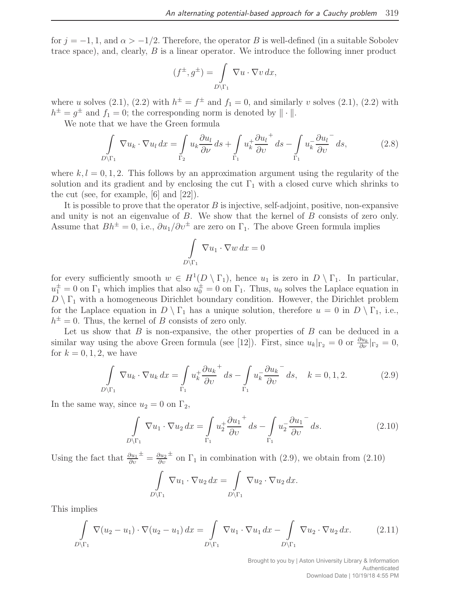for  $j = -1, 1$ , and  $\alpha > -1/2$ . Therefore, the operator B is well-defined (in a suitable Sobolev trace space), and, clearly, B is a linear operator. We introduce the following inner product

$$
(f^{\pm}, g^{\pm}) = \int\limits_{D \backslash \Gamma_1} \nabla u \cdot \nabla v \, dx,
$$

where u solves (2.1), (2.2) with  $h^{\pm} = f^{\pm}$  and  $f_1 = 0$ , and similarly v solves (2.1), (2.2) with  $h^{\pm} = g^{\pm}$  and  $f_1 = 0$ ; the corresponding norm is denoted by  $\|\cdot\|$ .

We note that we have the Green formula

$$
\int_{D\backslash\Gamma_1} \nabla u_k \cdot \nabla u_l \, dx = \int_{\Gamma_2} u_k \frac{\partial u_l}{\partial \nu} \, ds + \int_{\Gamma_1} u_k^+ \frac{\partial u_l^+}{\partial \nu} \, ds - \int_{\Gamma_1} u_k^- \frac{\partial u_l^-}{\partial \nu} \, ds,\tag{2.8}
$$

where  $k, l = 0, 1, 2$ . This follows by an approximation argument using the regularity of the solution and its gradient and by enclosing the cut  $\Gamma_1$  with a closed curve which shrinks to the cut (see, for example, [6] and [22]).

It is possible to prove that the operator  $B$  is injective, self-adjoint, positive, non-expansive and unity is not an eigenvalue of  $B$ . We show that the kernel of  $B$  consists of zero only. Assume that  $Bh^{\pm} = 0$ , i.e.,  $\partial u_1 / \partial v^{\pm}$  are zero on  $\Gamma_1$ . The above Green formula implies

$$
\int\limits_{D\setminus\Gamma_1}\nabla u_1\cdot\nabla w\,dx=0
$$

for every sufficiently smooth  $w \in H^1(D \setminus \Gamma_1)$ , hence  $u_1$  is zero in  $D \setminus \Gamma_1$ . In particular,  $u_1^{\pm} = 0$  on  $\Gamma_1$  which implies that also  $u_0^{\pm} = 0$  on  $\Gamma_1$ . Thus,  $u_0$  solves the Laplace equation in  $D \setminus \Gamma_1$  with a homogeneous Dirichlet boundary condition. However, the Dirichlet problem for the Laplace equation in  $D \setminus \Gamma_1$  has a unique solution, therefore  $u = 0$  in  $D \setminus \Gamma_1$ , i.e.,  $h^{\pm} = 0$ . Thus, the kernel of B consists of zero only.

Let us show that  $B$  is non-expansive, the other properties of  $B$  can be deduced in a similar way using the above Green formula (see [12]). First, since  $u_k|_{\Gamma_2} = 0$  or  $\frac{\partial u_k}{\partial \nu}|_{\Gamma_2} = 0$ , for  $k = 0, 1, 2$ , we have

$$
\int_{D\setminus\Gamma_1} \nabla u_k \cdot \nabla u_k \, dx = \int_{\Gamma_1} u_k^+ \frac{\partial u_k^+}{\partial v} \, ds - \int_{\Gamma_1} u_k^- \frac{\partial u_k^-}{\partial v} \, ds, \quad k = 0, 1, 2. \tag{2.9}
$$

In the same way, since  $u_2 = 0$  on  $\Gamma_2$ ,

$$
\int_{D\setminus\Gamma_1} \nabla u_1 \cdot \nabla u_2 \, dx = \int_{\Gamma_1} u_2^+ \frac{\partial u_1^+}{\partial v} \, ds - \int_{\Gamma_1} u_2^- \frac{\partial u_1^-}{\partial v} \, ds. \tag{2.10}
$$

Using the fact that  $\frac{\partial u_1}{\partial v}$  $\frac{1}{x} = \frac{\partial u_2}{\partial v_1}$ ∂υ  $\pm$  on  $\Gamma_1$  in combination with (2.9), we obtain from (2.10)

$$
\int_{D \backslash \Gamma_1} \nabla u_1 \cdot \nabla u_2 \, dx = \int_{D \backslash \Gamma_1} \nabla u_2 \cdot \nabla u_2 \, dx.
$$

This implies

$$
\int_{D\backslash\Gamma_1} \nabla (u_2 - u_1) \cdot \nabla (u_2 - u_1) dx = \int_{D\backslash\Gamma_1} \nabla u_1 \cdot \nabla u_1 dx - \int_{D\backslash\Gamma_1} \nabla u_2 \cdot \nabla u_2 dx.
$$
 (2.11)

Brought to you by | Aston University Library & Information Authenticated Download Date | 10/19/18 4:55 PM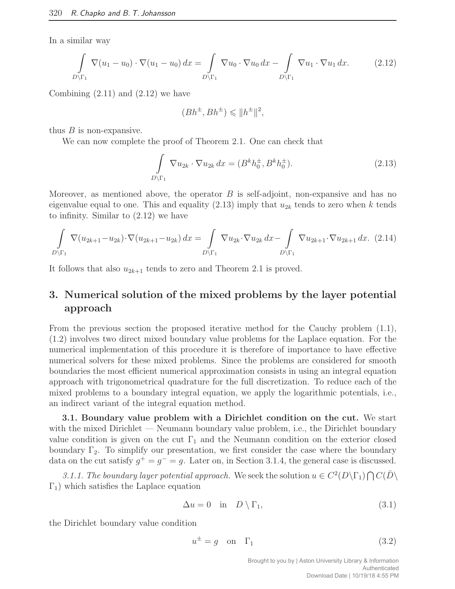In a similar way

$$
\int_{D\backslash\Gamma_1} \nabla (u_1 - u_0) \cdot \nabla (u_1 - u_0) dx = \int_{D\backslash\Gamma_1} \nabla u_0 \cdot \nabla u_0 dx - \int_{D\backslash\Gamma_1} \nabla u_1 \cdot \nabla u_1 dx.
$$
 (2.12)

Combining  $(2.11)$  and  $(2.12)$  we have

$$
(Bh^{\pm}, Bh^{\pm}) \leq \|h^{\pm}\|^2,
$$

thus  $B$  is non-expansive.

We can now complete the proof of Theorem 2.1. One can check that

$$
\int_{D\setminus\Gamma_1} \nabla u_{2k} \cdot \nabla u_{2k} dx = (B^k h_0^{\pm}, B^k h_0^{\pm}).
$$
\n(2.13)

Moreover, as mentioned above, the operator  $B$  is self-adjoint, non-expansive and has no eigenvalue equal to one. This and equality  $(2.13)$  imply that  $u_{2k}$  tends to zero when k tends to infinity. Similar to (2.12) we have

$$
\int_{D\backslash\Gamma_1} \nabla (u_{2k+1} - u_{2k}) \cdot \nabla (u_{2k+1} - u_{2k}) dx = \int_{D\backslash\Gamma_1} \nabla u_{2k} \cdot \nabla u_{2k} dx - \int_{D\backslash\Gamma_1} \nabla u_{2k+1} \cdot \nabla u_{2k+1} dx. (2.14)
$$

It follows that also  $u_{2k+1}$  tends to zero and Theorem 2.1 is proved.

### 3. Numerical solution of the mixed problems by the layer potential approach

From the previous section the proposed iterative method for the Cauchy problem (1.1), (1.2) involves two direct mixed boundary value problems for the Laplace equation. For the numerical implementation of this procedure it is therefore of importance to have effective numerical solvers for these mixed problems. Since the problems are considered for smooth boundaries the most efficient numerical approximation consists in using an integral equation approach with trigonometrical quadrature for the full discretization. To reduce each of the mixed problems to a boundary integral equation, we apply the logarithmic potentials, i.e., an indirect variant of the integral equation method.

3.1. Boundary value problem with a Dirichlet condition on the cut. We start with the mixed Dirichlet — Neumann boundary value problem, i.e., the Dirichlet boundary value condition is given on the cut  $\Gamma_1$  and the Neumann condition on the exterior closed boundary  $\Gamma_2$ . To simplify our presentation, we first consider the case where the boundary data on the cut satisfy  $g^+ = g^- = g$ . Later on, in Section 3.1.4, the general case is discussed.

3.1.1. The boundary layer potential approach. We seek the solution  $u \in C^2(D\setminus\Gamma_1) \cap C(\overline{D} \setminus$  $Γ<sub>1</sub>$ ) which satisfies the Laplace equation

$$
\Delta u = 0 \quad \text{in} \quad D \setminus \Gamma_1,\tag{3.1}
$$

the Dirichlet boundary value condition

$$
u^{\pm} = g \quad \text{on} \quad \Gamma_1 \tag{3.2}
$$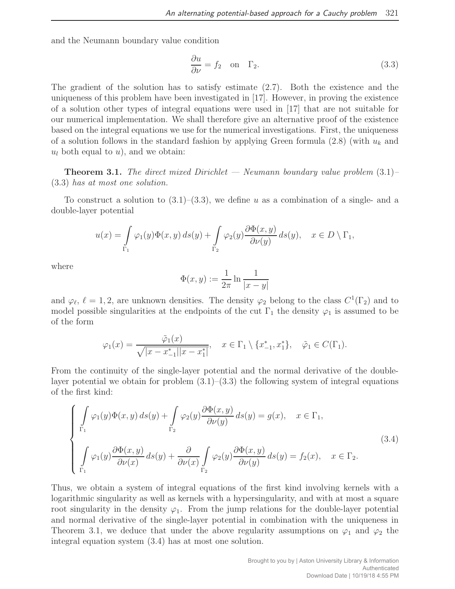and the Neumann boundary value condition

$$
\frac{\partial u}{\partial \nu} = f_2 \quad \text{on} \quad \Gamma_2. \tag{3.3}
$$

The gradient of the solution has to satisfy estimate (2.7). Both the existence and the uniqueness of this problem have been investigated in [17]. However, in proving the existence of a solution other types of integral equations were used in [17] that are not suitable for our numerical implementation. We shall therefore give an alternative proof of the existence based on the integral equations we use for the numerical investigations. First, the uniqueness of a solution follows in the standard fashion by applying Green formula  $(2.8)$  (with  $u_k$  and  $u_l$  both equal to  $u$ ), and we obtain:

**Theorem 3.1.** The direct mixed Dirichlet  $-$  Neumann boundary value problem  $(3.1)$ (3.3) has at most one solution.

To construct a solution to  $(3.1)$ – $(3.3)$ , we define u as a combination of a single- and a double-layer potential

$$
u(x) = \int_{\Gamma_1} \varphi_1(y) \Phi(x, y) \, ds(y) + \int_{\Gamma_2} \varphi_2(y) \frac{\partial \Phi(x, y)}{\partial \nu(y)} \, ds(y), \quad x \in D \setminus \Gamma_1,
$$

where

$$
\Phi(x, y) := \frac{1}{2\pi} \ln \frac{1}{|x - y|}
$$

and  $\varphi_{\ell}, \ell = 1, 2$ , are unknown densities. The density  $\varphi_2$  belong to the class  $C^1(\Gamma_2)$  and to model possible singularities at the endpoints of the cut  $\Gamma_1$  the density  $\varphi_1$  is assumed to be of the form

$$
\varphi_1(x) = \frac{\tilde{\varphi}_1(x)}{\sqrt{|x - x_{-1}^*||x - x_1^*|}}, \quad x \in \Gamma_1 \setminus \{x_{-1}^*, x_1^*\}, \quad \tilde{\varphi}_1 \in C(\Gamma_1).
$$

From the continuity of the single-layer potential and the normal derivative of the doublelayer potential we obtain for problem  $(3.1)$ – $(3.3)$  the following system of integral equations of the first kind:

$$
\begin{cases}\n\int_{\Gamma_1} \varphi_1(y) \Phi(x, y) ds(y) + \int_{\Gamma_2} \varphi_2(y) \frac{\partial \Phi(x, y)}{\partial \nu(y)} ds(y) = g(x), & x \in \Gamma_1, \\
\int_{\Gamma_1} \varphi_1(y) \frac{\partial \Phi(x, y)}{\partial \nu(x)} ds(y) + \frac{\partial}{\partial \nu(x)} \int_{\Gamma_2} \varphi_2(y) \frac{\partial \Phi(x, y)}{\partial \nu(y)} ds(y) = f_2(x), & x \in \Gamma_2.\n\end{cases}
$$
\n(3.4)

Thus, we obtain a system of integral equations of the first kind involving kernels with a logarithmic singularity as well as kernels with a hypersingularity, and with at most a square root singularity in the density  $\varphi_1$ . From the jump relations for the double-layer potential and normal derivative of the single-layer potential in combination with the uniqueness in Theorem 3.1, we deduce that under the above regularity assumptions on  $\varphi_1$  and  $\varphi_2$  the integral equation system (3.4) has at most one solution.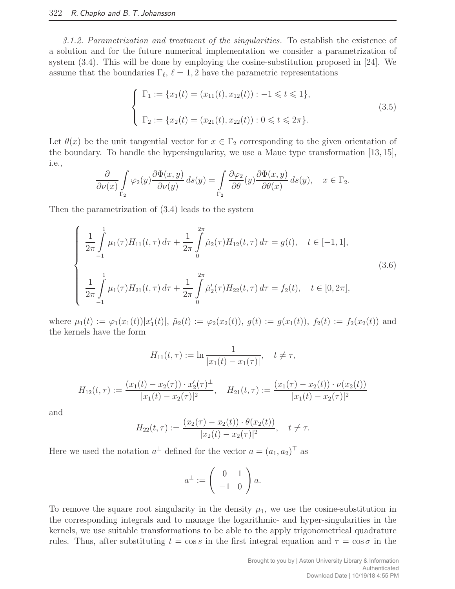3.1.2. Parametrization and treatment of the singularities. To establish the existence of a solution and for the future numerical implementation we consider a parametrization of system (3.4). This will be done by employing the cosine-substitution proposed in [24]. We assume that the boundaries  $\Gamma_{\ell}, \ell = 1, 2$  have the parametric representations

$$
\begin{cases}\n\Gamma_1 := \{x_1(t) = (x_{11}(t), x_{12}(t)) : -1 \leq t \leq 1\}, \\
\Gamma_2 := \{x_2(t) = (x_{21}(t), x_{22}(t)) : 0 \leq t \leq 2\pi\}.\n\end{cases}
$$
\n(3.5)

Let  $\theta(x)$  be the unit tangential vector for  $x \in \Gamma_2$  corresponding to the given orientation of the boundary. To handle the hypersingularity, we use a Maue type transformation [13, 15], i.e.,

$$
\frac{\partial}{\partial \nu(x)} \int_{\Gamma_2} \varphi_2(y) \frac{\partial \Phi(x, y)}{\partial \nu(y)} ds(y) = \int_{\Gamma_2} \frac{\partial \varphi_2}{\partial \theta}(y) \frac{\partial \Phi(x, y)}{\partial \theta(x)} ds(y), \quad x \in \Gamma_2.
$$

Then the parametrization of (3.4) leads to the system

$$
\begin{cases}\n\frac{1}{2\pi} \int_{-1}^{1} \mu_1(\tau) H_{11}(t, \tau) d\tau + \frac{1}{2\pi} \int_{0}^{2\pi} \tilde{\mu}_2(\tau) H_{12}(t, \tau) d\tau = g(t), \quad t \in [-1, 1], \\
\frac{1}{2\pi} \int_{-1}^{1} \mu_1(\tau) H_{21}(t, \tau) d\tau + \frac{1}{2\pi} \int_{0}^{2\pi} \tilde{\mu}_2'(\tau) H_{22}(t, \tau) d\tau = f_2(t), \quad t \in [0, 2\pi],\n\end{cases}
$$
\n(3.6)

where  $\mu_1(t) := \varphi_1(x_1(t)) |x'_1(t)|$ ,  $\tilde{\mu}_2(t) := \varphi_2(x_2(t))$ ,  $g(t) := g(x_1(t))$ ,  $f_2(t) := f_2(x_2(t))$  and the kernels have the form

$$
H_{11}(t,\tau) := \ln \frac{1}{|x_1(t) - x_1(\tau)|}, \quad t \neq \tau,
$$
  

$$
H_{12}(t,\tau) := \frac{(x_1(t) - x_2(\tau)) \cdot x_2'(\tau)^{\perp}}{|x_1(t) - x_2(\tau)|^2}, \quad H_{21}(t,\tau) := \frac{(x_1(\tau) - x_2(t)) \cdot \nu(x_2(t))}{|x_1(t) - x_2(\tau)|^2}
$$

and

$$
H_{22}(t,\tau) := \frac{(x_2(\tau) - x_2(t)) \cdot \theta(x_2(t))}{|x_2(t) - x_2(\tau)|^2}, \quad t \neq \tau.
$$

Here we used the notation  $a^{\perp}$  defined for the vector  $a = (a_1, a_2)^{\top}$  as

$$
a^{\perp} := \left(\begin{array}{cc} 0 & 1 \\ -1 & 0 \end{array}\right) a.
$$

To remove the square root singularity in the density  $\mu_1$ , we use the cosine-substitution in the corresponding integrals and to manage the logarithmic- and hyper-singularities in the kernels, we use suitable transformations to be able to the apply trigonometrical quadrature rules. Thus, after substituting  $t = \cos s$  in the first integral equation and  $\tau = \cos \sigma$  in the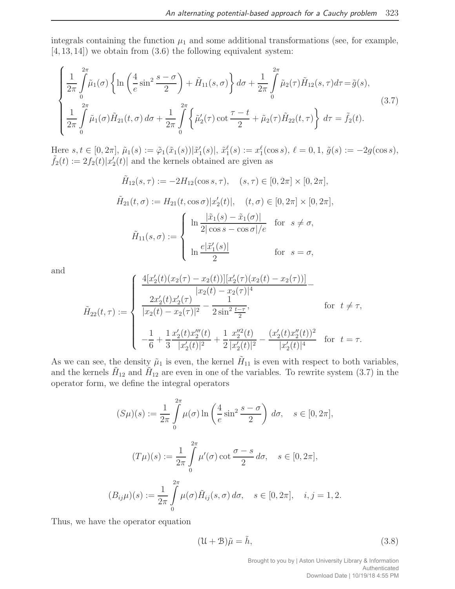integrals containing the function  $\mu_1$  and some additional transformations (see, for example,  $[4, 13, 14]$  we obtain from  $(3.6)$  the following equivalent system:

$$
\begin{cases} \frac{1}{2\pi} \int_{0}^{2\pi} \tilde{\mu}_{1}(\sigma) \left\{ \ln \left( \frac{4}{e} \sin^{2} \frac{s-\sigma}{2} \right) + \tilde{H}_{11}(s, \sigma) \right\} d\sigma + \frac{1}{2\pi} \int_{0}^{2\pi} \tilde{\mu}_{2}(\tau) \tilde{H}_{12}(s, \tau) d\tau = \tilde{g}(s), \\ \frac{1}{2\pi} \int_{0}^{2\pi} \tilde{\mu}_{1}(\sigma) \tilde{H}_{21}(t, \sigma) d\sigma + \frac{1}{2\pi} \int_{0}^{2\pi} \left\{ \tilde{\mu}_{2}'(\tau) \cot \frac{\tau-t}{2} + \tilde{\mu}_{2}(\tau) \tilde{H}_{22}(t, \tau) \right\} d\tau = \tilde{f}_{2}(t). \end{cases} (3.7)
$$

Here  $s, t \in [0, 2\pi], \tilde{\mu}_1(s) := \tilde{\varphi}_1(\tilde{x}_1(s)) |\tilde{x}'_1(s)|, \tilde{x}_1^{\ell}(s) := x_1^{\ell}(\cos s), \ell = 0, 1, \tilde{g}(s) := -2g(\cos s),$  $\tilde{f}_2(t) := 2f_2(t)|x_2'(t)|$  and the kernels obtained are given as

$$
\tilde{H}_{12}(s,\tau) := -2H_{12}(\cos s, \tau), \quad (s,\tau) \in [0, 2\pi] \times [0, 2\pi],
$$
\n
$$
\tilde{H}_{21}(t,\sigma) := H_{21}(t,\cos\sigma)|x_2'(t)|, \quad (t,\sigma) \in [0, 2\pi] \times [0, 2\pi],
$$
\n
$$
\tilde{H}_{11}(s,\sigma) := \begin{cases}\n\ln \frac{|\tilde{x}_1(s) - \tilde{x}_1(\sigma)|}{2|\cos s - \cos \sigma|/e} & \text{for } s \neq \sigma, \\
\ln \frac{e|\tilde{x}_1'(s)|}{2} & \text{for } s = \sigma,\n\end{cases}
$$

and

$$
\tilde{H}_{22}(t,\tau) := \begin{cases}\n\frac{4[x_2'(t)(x_2(\tau) - x_2(t))][x_2'(\tau)(x_2(t) - x_2(\tau))]}{|x_2(t) - x_2(\tau)|^4} - \\
\frac{2x_2'(t)x_2'(\tau)}{|x_2(t) - x_2(\tau)|^2} - \frac{1}{2\sin^2\frac{t-\tau}{2}}, & \text{for } t \neq \tau, \\
-\frac{1}{6} + \frac{1}{3}\frac{x_2'(t)x_2''(t)}{|x_2'(t)|^2} + \frac{1}{2}\frac{x_2''^2(t)}{|x_2'(t)|^2} - \frac{(x_2'(t)x_2''(t))^2}{|x_2'(t)|^4} & \text{for } t = \tau.\n\end{cases}
$$

As we can see, the density  $\tilde{\mu}_1$  is even, the kernel  $\tilde{H}_{11}$  is even with respect to both variables, and the kernels  $\tilde{H}_{12}$  and  $\tilde{H}_{12}$  are even in one of the variables. To rewrite system (3.7) in the operator form, we define the integral operators

$$
(S\mu)(s) := \frac{1}{2\pi} \int_{0}^{2\pi} \mu(\sigma) \ln\left(\frac{4}{e} \sin^2\frac{s-\sigma}{2}\right) d\sigma, \quad s \in [0, 2\pi],
$$
  

$$
(T\mu)(s) := \frac{1}{2\pi} \int_{0}^{2\pi} \mu'(\sigma) \cot\frac{\sigma-s}{2} d\sigma, \quad s \in [0, 2\pi],
$$
  

$$
(B_{ij}\mu)(s) := \frac{1}{2\pi} \int_{0}^{2\pi} \mu(\sigma) \tilde{H}_{ij}(s, \sigma) d\sigma, \quad s \in [0, 2\pi], \quad i, j = 1, 2.
$$

Thus, we have the operator equation

$$
(\mathcal{U} + \mathcal{B})\tilde{\mu} = \tilde{h},\tag{3.8}
$$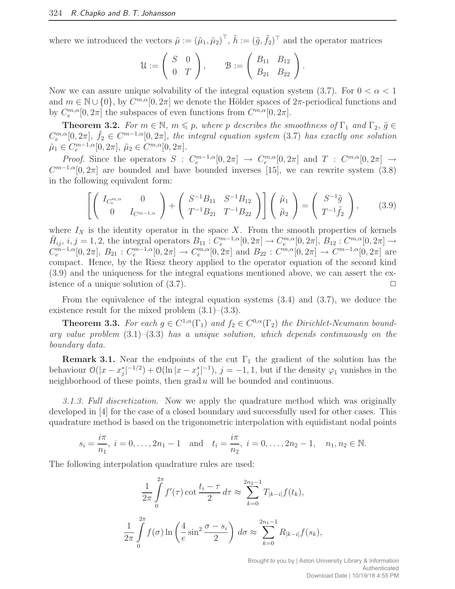where we introduced the vectors  $\tilde{\mu} := (\tilde{\mu}_1, \tilde{\mu}_2)^{\top}, \tilde{h} := (\tilde{g}, \tilde{f}_2)^{\top}$  and the operator matrices

$$
\mathcal{U}:=\left(\begin{array}{cc} S & 0 \\ 0 & T \end{array}\right), \qquad \mathcal{B}:=\left(\begin{array}{cc} B_{11} & B_{12} \\ B_{21} & B_{22} \end{array}\right).
$$

Now we can assure unique solvability of the integral equation system (3.7). For  $0 < \alpha < 1$ and  $m \in \mathbb{N} \cup \{0\}$ , by  $C^{m,\alpha}[0,2\pi]$  we denote the Hölder spaces of  $2\pi$ -periodical functions and by  $C_e^{m,\alpha}[0,2\pi]$  the subspaces of even functions from  $C^{m,\alpha}[0,2\pi]$ .

**Theorem 3.2.** For  $m \in \mathbb{N}$ ,  $m \leq p$ , where p describes the smoothness of  $\Gamma_1$  and  $\Gamma_2$ ,  $\tilde{g} \in$  $C_e^{m,\alpha}[0,2\pi], \tilde{f}_2 \in C^{m-1,\alpha}[0,2\pi],$  the integral equation system (3.7) has exactly one solution  $\tilde{\mu}_1 \in C_e^{m-1,\alpha}[0,2\pi], \, \tilde{\mu}_2 \in C^{m,\alpha}[0,2\pi].$ 

*Proof.* Since the operators  $S : C_e^{m-1,\alpha}[0,2\pi] \to C_e^{m,\alpha}[0,2\pi]$  and  $T : C_{\alpha,\alpha}[0,2\pi] \to C_{\alpha,\alpha}[0,2\pi]$  $C^{m-1,\alpha}[0,2\pi]$  are bounded and have bounded inverses [15], we can rewrite system (3.8) in the following equivalent form:

$$
\left[ \left( \begin{array}{cc} I_{C_e^{m,\alpha}} & 0 \\ 0 & I_{C^{m-1,\alpha}} \end{array} \right) + \left( \begin{array}{cc} S^{-1}B_{11} & S^{-1}B_{12} \\ T^{-1}B_{21} & T^{-1}B_{22} \end{array} \right) \right] \left( \begin{array}{c} \tilde{\mu}_1 \\ \tilde{\mu}_2 \end{array} \right) = \left( \begin{array}{c} S^{-1}\tilde{g} \\ T^{-1}\tilde{f}_2 \end{array} \right), \quad (3.9)
$$

where  $I_X$  is the identity operator in the space X. From the smooth properties of kernels  $\tilde{H}_{ij}, i, j = 1, 2$ , the integral operators  $B_{11}: C_e^{m-1,\alpha}[0,2\pi] \to C_e^{m,\alpha}[0,2\pi], B_{12}: C_{\alpha}^{m,\alpha}[0,2\pi] \to C_{\alpha}^{m,\alpha}[0,2\pi]$  $C_e^{m-1,\alpha}[0,2\pi], B_{21}: C_e^{m-1,\alpha}[0,2\pi] \to C_e^{m,\alpha}[0,2\pi]$  and  $B_{22}: C_{e}^{m,\alpha}[0,2\pi] \to C_{e}^{m-1,\alpha}[0,2\pi]$  are compact. Hence, by the Riesz theory applied to the operator equation of the second kind (3.9) and the uniqueness for the integral equations mentioned above, we can assert the existence of a unique solution of  $(3.7)$ .

From the equivalence of the integral equation systems (3.4) and (3.7), we deduce the existence result for the mixed problem  $(3.1)$ – $(3.3)$ .

**Theorem 3.3.** For each  $g \in C^{1,\alpha}(\Gamma_1)$  and  $f_2 \in C^{0,\alpha}(\Gamma_2)$  the Dirichlet-Neumann boundary value problem  $(3.1)$ – $(3.3)$  has a unique solution, which depends continuously on the boundary data.

**Remark 3.1.** Near the endpoints of the cut  $\Gamma_1$  the gradient of the solution has the behaviour  $\mathcal{O}(|x-x_j^*|^{-1/2}) + \mathcal{O}(\ln|x-x_j^*|^{-1}), j = -1, 1$ , but if the density  $\varphi_1$  vanishes in the neighborhood of these points, then  $\operatorname{grad} u$  will be bounded and continuous.

3.1.3. Full discretization. Now we apply the quadrature method which was originally developed in [4] for the case of a closed boundary and successfully used for other cases. This quadrature method is based on the trigonometric interpolation with equidistant nodal points

$$
s_i = \frac{i\pi}{n_1}
$$
,  $i = 0, ..., 2n_1 - 1$  and  $t_i = \frac{i\pi}{n_2}$ ,  $i = 0, ..., 2n_2 - 1$ ,  $n_1, n_2 \in \mathbb{N}$ .

The following interpolation quadrature rules are used:

$$
\frac{1}{2\pi} \int_{0}^{2\pi} f'(\tau) \cot \frac{t_i - \tau}{2} d\tau \approx \sum_{k=0}^{2n_2 - 1} T_{|k-i|} f(t_k),
$$

$$
\frac{1}{2\pi} \int_{0}^{2\pi} f(\sigma) \ln \left( \frac{4}{e} \sin^2 \frac{\sigma - s_i}{2} \right) d\sigma \approx \sum_{k=0}^{2n_1 - 1} R_{|k-i|} f(s_k),
$$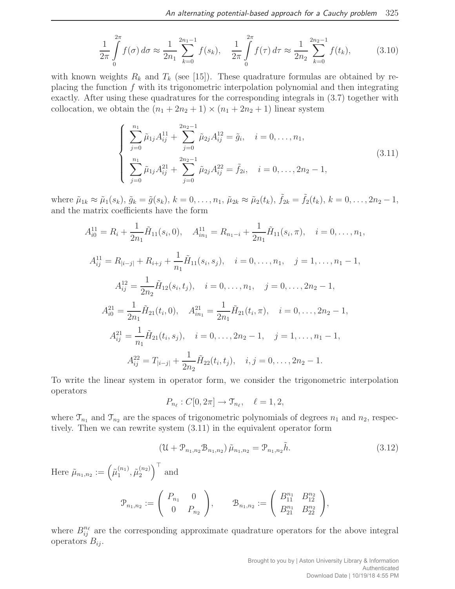$$
\frac{1}{2\pi} \int_{0}^{2\pi} f(\sigma) d\sigma \approx \frac{1}{2n_1} \sum_{k=0}^{2n_1-1} f(s_k), \quad \frac{1}{2\pi} \int_{0}^{2\pi} f(\tau) d\tau \approx \frac{1}{2n_2} \sum_{k=0}^{2n_2-1} f(t_k), \tag{3.10}
$$

with known weights  $R_k$  and  $T_k$  (see [15]). These quadrature formulas are obtained by replacing the function  $f$  with its trigonometric interpolation polynomial and then integrating exactly. After using these quadratures for the corresponding integrals in (3.7) together with collocation, we obtain the  $(n_1 + 2n_2 + 1) \times (n_1 + 2n_2 + 1)$  linear system

$$
\begin{cases}\n\sum_{j=0}^{n_1} \tilde{\mu}_{1j} A_{ij}^{11} + \sum_{j=0}^{2n_2 - 1} \tilde{\mu}_{2j} A_{ij}^{12} = \tilde{g}_i, \quad i = 0, \dots, n_1, \\
\sum_{j=0}^{n_1} \tilde{\mu}_{1j} A_{ij}^{21} + \sum_{j=0}^{2n_2 - 1} \tilde{\mu}_{2j} A_{ij}^{22} = \tilde{f}_{2i}, \quad i = 0, \dots, 2n_2 - 1,\n\end{cases}
$$
\n(3.11)

where  $\tilde{\mu}_{1k} \approx \tilde{\mu}_1(s_k)$ ,  $\tilde{g}_k = \tilde{g}(s_k)$ ,  $k = 0, \ldots, n_1$ ,  $\tilde{\mu}_{2k} \approx \tilde{\mu}_2(t_k)$ ,  $\tilde{f}_{2k} = \tilde{f}_2(t_k)$ ,  $k = 0, \ldots, 2n_2 - 1$ , and the matrix coefficients have the form

$$
A_{i0}^{11} = R_i + \frac{1}{2n_1} \tilde{H}_{11}(s_i, 0), \quad A_{in_1}^{11} = R_{n_1 - i} + \frac{1}{2n_1} \tilde{H}_{11}(s_i, \pi), \quad i = 0, \dots, n_1,
$$
  
\n
$$
A_{ij}^{11} = R_{|i-j|} + R_{i+j} + \frac{1}{n_1} \tilde{H}_{11}(s_i, s_j), \quad i = 0, \dots, n_1, \quad j = 1, \dots, n_1 - 1,
$$
  
\n
$$
A_{ij}^{12} = \frac{1}{2n_2} \tilde{H}_{12}(s_i, t_j), \quad i = 0, \dots, n_1, \quad j = 0, \dots, 2n_2 - 1,
$$
  
\n
$$
A_{i0}^{21} = \frac{1}{2n_1} \tilde{H}_{21}(t_i, 0), \quad A_{in_1}^{21} = \frac{1}{2n_1} \tilde{H}_{21}(t_i, \pi), \quad i = 0, \dots, 2n_2 - 1,
$$
  
\n
$$
A_{ij}^{21} = \frac{1}{n_1} \tilde{H}_{21}(t_i, s_j), \quad i = 0, \dots, 2n_2 - 1, \quad j = 1, \dots, n_1 - 1,
$$
  
\n
$$
A_{ij}^{22} = T_{|i-j|} + \frac{1}{2n_2} \tilde{H}_{22}(t_i, t_j), \quad i, j = 0, \dots, 2n_2 - 1.
$$

To write the linear system in operator form, we consider the trigonometric interpolation operators

$$
P_{n_{\ell}}:C[0,2\pi]\to\mathfrak{T}_{n_{\ell}},\quad\ell=1,2,
$$

where  $\mathcal{T}_{n_1}$  and  $\mathcal{T}_{n_2}$  are the spaces of trigonometric polynomials of degrees  $n_1$  and  $n_2$ , respectively. Then we can rewrite system (3.11) in the equivalent operator form

$$
(\mathcal{U} + \mathcal{P}_{n_1, n_2} \mathcal{B}_{n_1, n_2}) \tilde{\mu}_{n_1, n_2} = \mathcal{P}_{n_1, n_2} \tilde{h}.
$$
\n(3.12)

Here  $\tilde{\mu}_{n_1,n_2} := \left(\tilde{\mu}_1^{(n_1)}\right)$  $\tilde{\mu}_1^{(n_1)}, \tilde{\mu}_2^{(n_2)}$  $\binom{n_2}{2}^{\top}$  and

$$
\mathcal{P}_{n_1,n_2} := \left( \begin{array}{cc} P_{n_1} & 0 \\ 0 & P_{n_2} \end{array} \right), \qquad \mathcal{B}_{n_1,n_2} := \left( \begin{array}{cc} B_{11}^{n_1} & B_{12}^{n_2} \\ B_{21}^{n_1} & B_{22}^{n_2} \end{array} \right),
$$

where  $B_{ij}^{n_{\ell}}$  are the corresponding approximate quadrature operators for the above integral operators  $B_{ij}$ .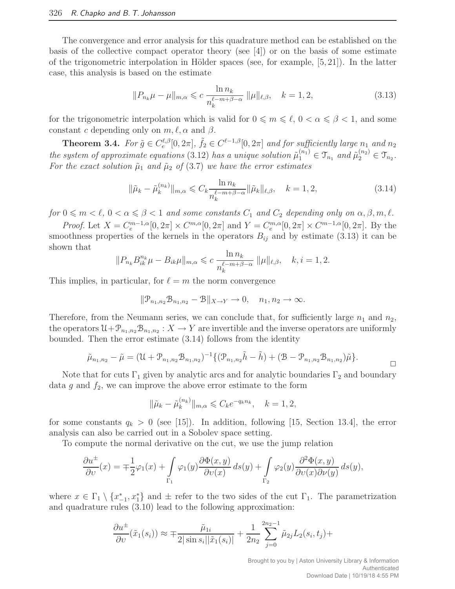The convergence and error analysis for this quadrature method can be established on the basis of the collective compact operator theory (see [4]) or on the basis of some estimate of the trigonometric interpolation in Hölder spaces (see, for example,  $[5, 21]$ ). In the latter case, this analysis is based on the estimate

$$
||P_{n_k}\mu - \mu||_{m,\alpha} \leq c \frac{\ln n_k}{n_k^{\ell - m + \beta - \alpha}} ||\mu||_{\ell,\beta}, \quad k = 1, 2,
$$
\n(3.13)

for the trigonometric interpolation which is valid for  $0 \le m \le \ell$ ,  $0 < \alpha \le \beta < 1$ , and some constant c depending only on  $m, \ell, \alpha$  and  $\beta$ .

**Theorem 3.4.** For  $\tilde{g} \in C_e^{\ell,\beta}[0,2\pi]$ ,  $\tilde{f}_2 \in C^{\ell-1,\beta}[0,2\pi]$  and for sufficiently large  $n_1$  and  $n_2$ the system of approximate equations (3.12) has a unique solution  $\tilde{\mu}_1^{(n_1)} \in \mathcal{T}_{n_1}$  and  $\tilde{\mu}_2^{(n_2)} \in \mathcal{T}_{n_2}$ . For the exact solution  $\tilde{\mu}_1$  and  $\tilde{\mu}_2$  of (3.7) we have the error estimates

$$
\|\tilde{\mu}_k - \tilde{\mu}_k^{(n_k)}\|_{m,\alpha} \leq C_k \frac{\ln n_k}{n_k^{\ell - m + \beta - \alpha}} \|\tilde{\mu}_k\|_{\ell,\beta}, \quad k = 1, 2,
$$
\n(3.14)

for  $0 \leq m < \ell$ ,  $0 < \alpha \leq \beta < 1$  and some constants  $C_1$  and  $C_2$  depending only on  $\alpha, \beta, m, \ell$ .

*Proof.* Let  $X = C_e^{m-1,\alpha}[0,2\pi] \times C^{m,\alpha}[0,2\pi]$  and  $Y = C_e^{m,\alpha}[0,2\pi] \times C^{m-1,\alpha}[0,2\pi]$ . By the smoothness properties of the kernels in the operators  $B_{ij}$  and by estimate (3.13) it can be shown that

$$
||P_{n_k}B_{ik}^{n_k}\mu - B_{ik}\mu||_{m,\alpha} \leq c \frac{\ln n_k}{n_k^{\ell-m+\beta-\alpha}} ||\mu||_{\ell,\beta}, \quad k, i = 1, 2.
$$

This implies, in particular, for  $\ell = m$  the norm convergence

$$
\|\mathcal{P}_{n_1,n_2}\mathcal{B}_{n_1,n_2}-\mathcal{B}\|_{X\to Y}\to 0, \quad n_1,n_2\to\infty.
$$

Therefore, from the Neumann series, we can conclude that, for sufficiently large  $n_1$  and  $n_2$ , the operators  $\mathfrak{U}+\mathcal{P}_{n_1,n_2}\mathfrak{B}_{n_1,n_2}:X\to Y$  are invertible and the inverse operators are uniformly bounded. Then the error estimate (3.14) follows from the identity

$$
\tilde{\mu}_{n_1,n_2} - \tilde{\mu} = (\mathfrak{U} + \mathfrak{P}_{n_1,n_2} \mathfrak{B}_{n_1,n_2})^{-1} \{ (\mathfrak{P}_{n_1,n_2} \tilde{h} - \tilde{h}) + (\mathfrak{B} - \mathfrak{P}_{n_1,n_2} \mathfrak{B}_{n_1,n_2}) \tilde{\mu} \}.
$$

Note that for cuts  $\Gamma_1$  given by analytic arcs and for analytic boundaries  $\Gamma_2$  and boundary data g and  $f_2$ , we can improve the above error estimate to the form

$$
\|\tilde{\mu}_k - \tilde{\mu}_k^{(n_k)}\|_{m,\alpha} \leqslant C_k e^{-q_k n_k}, \quad k = 1, 2,
$$

for some constants  $q_k > 0$  (see [15]). In addition, following [15, Section 13.4], the error analysis can also be carried out in a Sobolev space setting.

To compute the normal derivative on the cut, we use the jump relation

$$
\frac{\partial u^{\pm}}{\partial v}(x) = \mp \frac{1}{2} \varphi_1(x) + \int_{\Gamma_1} \varphi_1(y) \frac{\partial \Phi(x, y)}{\partial v(x)} ds(y) + \int_{\Gamma_2} \varphi_2(y) \frac{\partial^2 \Phi(x, y)}{\partial v(x) \partial v(y)} ds(y),
$$

where  $x \in \Gamma_1 \setminus \{x_{-1}^*, x_1^*\}$  and  $\pm$  refer to the two sides of the cut  $\Gamma_1$ . The parametrization and quadrature rules (3.10) lead to the following approximation:

$$
\frac{\partial u^{\pm}}{\partial v}(\tilde{x}_1(s_i)) \approx \mp \frac{\tilde{\mu}_{1i}}{2|\sin s_i||\tilde{x}_1(s_i)|} + \frac{1}{2n_2} \sum_{j=0}^{2n_2-1} \tilde{\mu}_{2j} L_2(s_i, t_j) +
$$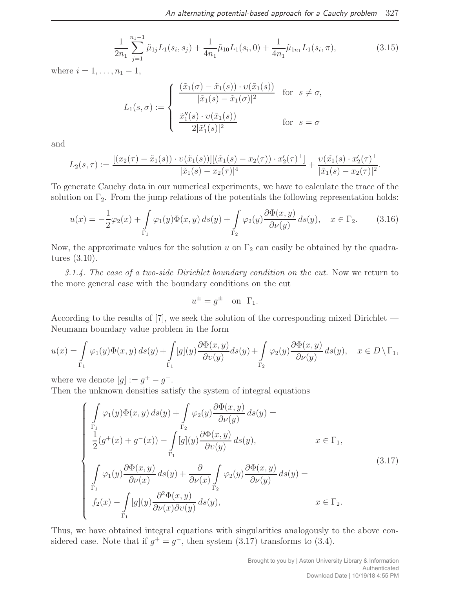$$
\frac{1}{2n_1} \sum_{j=1}^{n_1-1} \tilde{\mu}_{1j} L_1(s_i, s_j) + \frac{1}{4n_1} \tilde{\mu}_{10} L_1(s_i, 0) + \frac{1}{4n_1} \tilde{\mu}_{1n_1} L_1(s_i, \pi), \tag{3.15}
$$

where  $i = 1, ..., n_1 - 1$ ,

$$
L_1(s,\sigma) := \begin{cases} \frac{(\tilde{x}_1(\sigma) - \tilde{x}_1(s)) \cdot \upsilon(\tilde{x}_1(s))}{|\tilde{x}_1(s) - \tilde{x}_1(\sigma)|^2} & \text{for } s \neq \sigma, \\ \frac{\tilde{x}_1''(s) \cdot \upsilon(\tilde{x}_1(s))}{2|\tilde{x}_1'(s)|^2} & \text{for } s = \sigma \end{cases}
$$

and

$$
L_2(s,\tau) := \frac{\left[ (x_2(\tau) - \tilde{x}_1(s)) \cdot \upsilon(\tilde{x}_1(s)) \right] \left[ (\tilde{x}_1(s) - x_2(\tau)) \cdot x_2'(\tau)^\perp \right]}{|\tilde{x}_1(s) - x_2(\tau)|^4} + \frac{\upsilon(\tilde{x}_1(s) \cdot x_2'(\tau)^\perp)}{|\tilde{x}_1(s) - x_2(\tau)|^2}.
$$

To generate Cauchy data in our numerical experiments, we have to calculate the trace of the solution on  $\Gamma_2$ . From the jump relations of the potentials the following representation holds:

$$
u(x) = -\frac{1}{2}\varphi_2(x) + \int_{\Gamma_1} \varphi_1(y)\Phi(x,y) \, ds(y) + \int_{\Gamma_2} \varphi_2(y)\frac{\partial\Phi(x,y)}{\partial\nu(y)} \, ds(y), \quad x \in \Gamma_2. \tag{3.16}
$$

Now, the approximate values for the solution u on  $\Gamma_2$  can easily be obtained by the quadratures (3.10).

3.1.4. The case of a two-side Dirichlet boundary condition on the cut. Now we return to the more general case with the boundary conditions on the cut

$$
u^{\pm} = g^{\pm} \quad \text{on} \ \Gamma_1.
$$

According to the results of [7], we seek the solution of the corresponding mixed Dirichlet — Neumann boundary value problem in the form

$$
u(x) = \int_{\Gamma_1} \varphi_1(y) \Phi(x, y) ds(y) + \int_{\Gamma_1} [g](y) \frac{\partial \Phi(x, y)}{\partial v(y)} ds(y) + \int_{\Gamma_2} \varphi_2(y) \frac{\partial \Phi(x, y)}{\partial v(y)} ds(y), \quad x \in D \setminus \Gamma_1,
$$

where we denote  $[g] := g^+ - g^-$ .

Then the unknown densities satisfy the system of integral equations

$$
\begin{cases}\n\int_{\Gamma_1} \varphi_1(y)\Phi(x,y) \, ds(y) + \int_{\Gamma_2} \varphi_2(y) \frac{\partial \Phi(x,y)}{\partial \nu(y)} \, ds(y) = \\
\frac{1}{2} (g^+(x) + g^-(x)) - \int_{\Gamma_1} [g](y) \frac{\partial \Phi(x,y)}{\partial \nu(y)} \, ds(y), & x \in \Gamma_1, \\
\int_{\Gamma_1} \varphi_1(y) \frac{\partial \Phi(x,y)}{\partial \nu(x)} \, ds(y) + \frac{\partial}{\partial \nu(x)} \int_{\Gamma_2} \varphi_2(y) \frac{\partial \Phi(x,y)}{\partial \nu(y)} \, ds(y) = \\
f_1 \\
f_2(x) - \int_{\Gamma_1} [g](y) \frac{\partial^2 \Phi(x,y)}{\partial \nu(x) \partial \nu(y)} \, ds(y), & x \in \Gamma_2.\n\end{cases} (3.17)
$$

Thus, we have obtained integral equations with singularities analogously to the above considered case. Note that if  $g^+ = g^-$ , then system  $(3.17)$  transforms to  $(3.4)$ .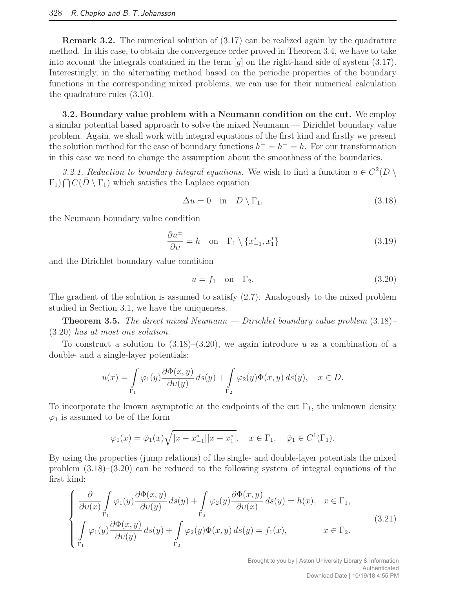Remark 3.2. The numerical solution of (3.17) can be realized again by the quadrature method. In this case, to obtain the convergence order proved in Theorem 3.4, we have to take into account the integrals contained in the term  $[q]$  on the right-hand side of system  $(3.17)$ . Interestingly, in the alternating method based on the periodic properties of the boundary functions in the corresponding mixed problems, we can use for their numerical calculation the quadrature rules (3.10).

3.2. Boundary value problem with a Neumann condition on the cut. We employ a similar potential based approach to solve the mixed Neumann — Dirichlet boundary value problem. Again, we shall work with integral equations of the first kind and firstly we present the solution method for the case of boundary functions  $h^+ = h^- = h$ . For our transformation in this case we need to change the assumption about the smoothness of the boundaries.

3.2.1. Reduction to boundary integral equations. We wish to find a function  $u \in C^2(D \setminus \mathbb{R})$  $\Gamma_1$ )  $\bigcap C(\overline{D} \setminus \Gamma_1)$  which satisfies the Laplace equation

$$
\Delta u = 0 \quad \text{in} \quad D \setminus \Gamma_1,\tag{3.18}
$$

the Neumann boundary value condition

$$
\frac{\partial u^{\pm}}{\partial v} = h \quad \text{on} \quad \Gamma_1 \setminus \{x_{-1}^*, x_1^*\} \tag{3.19}
$$

and the Dirichlet boundary value condition

$$
u = f_1 \quad \text{on} \quad \Gamma_2. \tag{3.20}
$$

The gradient of the solution is assumed to satisfy (2.7). Analogously to the mixed problem studied in Section 3.1, we have the uniqueness.

**Theorem 3.5.** The direct mixed Neumann — Dirichlet boundary value problem  $(3.18)$ (3.20) has at most one solution.

To construct a solution to  $(3.18)$ – $(3.20)$ , we again introduce u as a combination of a double- and a single-layer potentials:

$$
u(x) = \int_{\Gamma_1} \varphi_1(y) \frac{\partial \Phi(x, y)}{\partial v(y)} ds(y) + \int_{\Gamma_2} \varphi_2(y) \Phi(x, y) ds(y), \quad x \in D.
$$

To incorporate the known asymptotic at the endpoints of the cut  $\Gamma_1$ , the unknown density  $\varphi_1$  is assumed to be of the form

$$
\varphi_1(x) = \tilde{\varphi}_1(x)\sqrt{|x - x_{-1}^*||x - x_1^*|}, \quad x \in \Gamma_1, \quad \tilde{\varphi}_1 \in C^1(\Gamma_1).
$$

By using the properties (jump relations) of the single- and double-layer potentials the mixed problem (3.18)–(3.20) can be reduced to the following system of integral equations of the first kind:

$$
\begin{cases}\n\frac{\partial}{\partial v(x)} \int_{\Gamma_1} \varphi_1(y) \frac{\partial \Phi(x, y)}{\partial v(y)} ds(y) + \int_{\Gamma_2} \varphi_2(y) \frac{\partial \Phi(x, y)}{\partial v(x)} ds(y) = h(x), & x \in \Gamma_1, \\
\int_{\Gamma_1} \varphi_1(y) \frac{\partial \Phi(x, y)}{\partial v(y)} ds(y) + \int_{\Gamma_2} \varphi_2(y) \Phi(x, y) ds(y) = f_1(x), & x \in \Gamma_2.\n\end{cases}
$$
\n(3.21)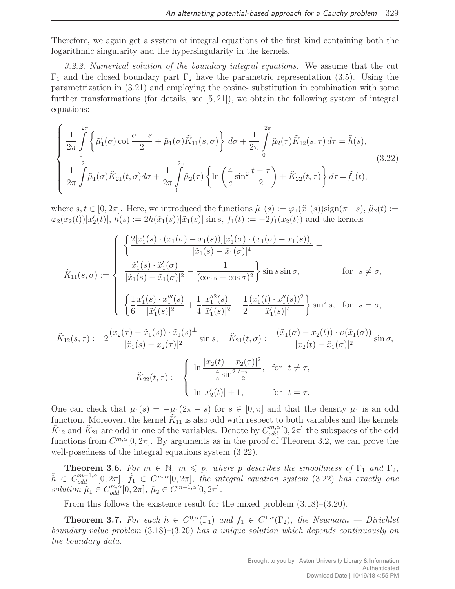Therefore, we again get a system of integral equations of the first kind containing both the logarithmic singularity and the hypersingularity in the kernels.

3.2.2. Numerical solution of the boundary integral equations. We assume that the cut  $Γ_1$  and the closed boundary part  $Γ_2$  have the parametric representation (3.5). Using the parametrization in (3.21) and employing the cosine- substitution in combination with some further transformations (for details, see  $[5, 21]$ ), we obtain the following system of integral equations:

$$
\begin{cases} \frac{1}{2\pi} \int_{0}^{2\pi} \left\{ \tilde{\mu}_{1}^{\prime}(\sigma) \cot \frac{\sigma - s}{2} + \tilde{\mu}_{1}(\sigma) \tilde{K}_{11}(s, \sigma) \right\} d\sigma + \frac{1}{2\pi} \int_{0}^{2\pi} \tilde{\mu}_{2}(\tau) \tilde{K}_{12}(s, \tau) d\tau = \tilde{h}(s), \\ \frac{1}{2\pi} \int_{0}^{2\pi} \tilde{\mu}_{1}(\sigma) \tilde{K}_{21}(t, \sigma) d\sigma + \frac{1}{2\pi} \int_{0}^{2\pi} \tilde{\mu}_{2}(\tau) \left\{ \ln \left( \frac{4}{e} \sin^{2} \frac{t - \tau}{2} \right) + \tilde{K}_{22}(t, \tau) \right\} d\tau = \tilde{f}_{1}(t), \end{cases}
$$
\n(3.22)

where  $s, t \in [0, 2\pi]$ . Here, we introduced the functions  $\tilde{\mu}_1(s) := \varphi_1(\tilde{x}_1(s))\text{sign}(\pi - s)$ ,  $\tilde{\mu}_2(t) :=$  $\varphi_2(x_2(t)) | x'_2(t) |$ ,  $\tilde{h}(s) := 2h(\tilde{x}_1(s)) |\tilde{x}_1(s)| \sin s$ ,  $\tilde{f}_1(t) := -2f_1(x_2(t))$  and the kernels

$$
\tilde{K}_{11}(s,\sigma) := \begin{cases}\n\left\{\frac{2[\tilde{x}'_1(s) \cdot (\tilde{x}_1(\sigma) - \tilde{x}_1(s))][\tilde{x}'_1(\sigma) \cdot (\tilde{x}_1(\sigma) - \tilde{x}_1(s))]}{|\tilde{x}_1(s) - \tilde{x}_1(\sigma)|^4} - \frac{\tilde{x}'_1(s) \cdot \tilde{x}'_1(\sigma)}{|\tilde{x}_1(s) - \tilde{x}_1(\sigma)|^2} - \frac{1}{(\cos s - \cos \sigma)^2}\right\} \sin s \sin \sigma, & \text{for } s \neq \sigma, \\
\left\{\frac{1}{6} \frac{\tilde{x}'_1(s) \cdot \tilde{x}''_1(s)}{|\tilde{x}'_1(s)|^2} + \frac{1}{4} \frac{\tilde{x}''_1(s)}{|\tilde{x}'_1(s)|^2} - \frac{1}{2} \frac{(\tilde{x}'_1(t) \cdot \tilde{x}''_1(s))^2}{|\tilde{x}'_1(s)|^4}\right\} \sin^2 s, & \text{for } s = \sigma, \\
\tilde{K}_{12}(s,\tau) := 2 \frac{(x_2(\tau) - \tilde{x}_1(s)) \cdot \tilde{x}_1(s)^{\perp}}{|\tilde{x}_1(s) - x_2(\tau)|^2} \sin s, & \tilde{K}_{21}(t,\sigma) := \frac{(\tilde{x}_1(\sigma) - x_2(t)) \cdot \nu(\tilde{x}_1(\sigma))}{|x_2(t) - \tilde{x}_1(\sigma)|^2} \sin \sigma, \\
\tilde{K}_{22}(t,\tau) := \begin{cases}\n\ln \frac{|x_2(t) - x_2(\tau)|^2}{\frac{4}{c} \sin^2 \frac{t - \tau}{2}}, & \text{for } t \neq \tau, \\
\ln |x'_2(t)| + 1, & \text{for } t = \tau.\n\end{cases}\n\end{cases}
$$

One can check that  $\tilde{\mu}_1(s) = -\tilde{\mu}_1(2\pi - s)$  for  $s \in [0, \pi]$  and that the density  $\tilde{\mu}_1$  is an odd function. Moreover, the kernel  $\tilde{K}_{11}$  is also odd with respect to both variables and the kernels  $\tilde{K}_{12}$  and  $\tilde{K}_{21}$  are odd in one of the variables. Denote by  $C_{odd}^{m,\alpha}[0,2\pi]$  the subspaces of the odd functions from  $C^{m,\alpha}[0,2\pi]$ . By arguments as in the proof of Theorem 3.2, we can prove the well-posedness of the integral equations system (3.22).

**Theorem 3.6.** For  $m \in \mathbb{N}$ ,  $m \leq p$ , where p describes the smoothness of  $\Gamma_1$  and  $\Gamma_2$ ,  $\tilde{h} \in C_{odd}^{m-1,\alpha}[0,2\pi], \ \tilde{f}_1 \in C^{m,\alpha}[0,2\pi],$  the integral equation system (3.22) has exactly one solution  $\tilde{\mu}_1 \in C_{odd}^{m,\alpha}[0,2\pi], \ \tilde{\mu}_2 \in C^{m-1,\alpha}[0,2\pi].$ 

From this follows the existence result for the mixed problem (3.18)–(3.20).

**Theorem 3.7.** For each  $h \in C^{0,\alpha}(\Gamma_1)$  and  $f_1 \in C^{1,\alpha}(\Gamma_2)$ , the Neumann — Dirichlet boundary value problem (3.18)–(3.20) has a unique solution which depends continuously on the boundary data.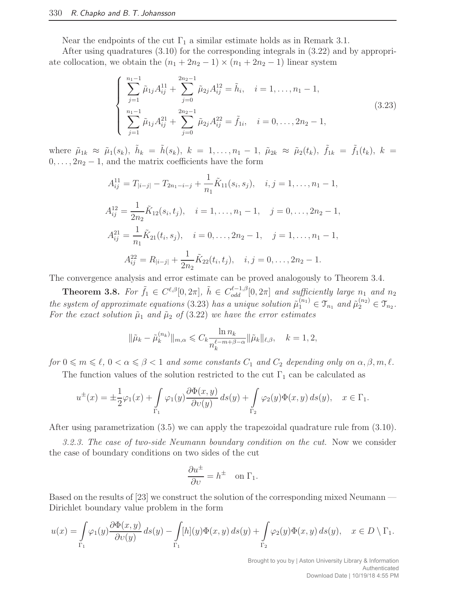Near the endpoints of the cut  $\Gamma_1$  a similar estimate holds as in Remark 3.1.

After using quadratures (3.10) for the corresponding integrals in (3.22) and by appropriate collocation, we obtain the  $(n_1 + 2n_2 - 1) \times (n_1 + 2n_2 - 1)$  linear system

$$
\begin{cases}\n\sum_{j=1}^{n_1-1} \tilde{\mu}_{1j} A_{ij}^{11} + \sum_{j=0}^{2n_2-1} \tilde{\mu}_{2j} A_{ij}^{12} = \tilde{h}_i, \quad i = 1, \dots, n_1 - 1, \\
\sum_{j=1}^{n_1-1} \tilde{\mu}_{1j} A_{ij}^{21} + \sum_{j=0}^{2n_2-1} \tilde{\mu}_{2j} A_{ij}^{22} = \tilde{f}_{1i}, \quad i = 0, \dots, 2n_2 - 1,\n\end{cases}
$$
\n(3.23)

where  $\tilde{\mu}_{1k} \approx \tilde{\mu}_1(s_k)$ ,  $\tilde{h}_k = \tilde{h}(s_k)$ ,  $k = 1, ..., n_1 - 1$ ,  $\tilde{\mu}_{2k} \approx \tilde{\mu}_2(t_k)$ ,  $\tilde{f}_{1k} = \tilde{f}_1(t_k)$ ,  $k =$  $0, \ldots, 2n_2 - 1$ , and the matrix coefficients have the form

$$
A_{ij}^{11} = T_{|i-j|} - T_{2n_1 - i - j} + \frac{1}{n_1} \tilde{K}_{11}(s_i, s_j), \quad i, j = 1, ..., n_1 - 1,
$$
  
\n
$$
A_{ij}^{12} = \frac{1}{2n_2} \tilde{K}_{12}(s_i, t_j), \quad i = 1, ..., n_1 - 1, \quad j = 0, ..., 2n_2 - 1,
$$
  
\n
$$
A_{ij}^{21} = \frac{1}{n_1} \tilde{K}_{21}(t_i, s_j), \quad i = 0, ..., 2n_2 - 1, \quad j = 1, ..., n_1 - 1,
$$
  
\n
$$
A_{ij}^{22} = R_{|i-j|} + \frac{1}{2n_2} \tilde{K}_{22}(t_i, t_j), \quad i, j = 0, ..., 2n_2 - 1.
$$

The convergence analysis and error estimate can be proved analogously to Theorem 3.4.

**Theorem 3.8.** For  $\tilde{f}_1 \in C^{\ell,\beta}[0,2\pi]$ ,  $\tilde{h} \in C^{\ell-1,\beta}_{odd}[0,2\pi]$  and sufficiently large  $n_1$  and  $n_2$ the system of approximate equations (3.23) has a unique solution  $\tilde{\mu}_1^{(n_1)} \in \mathcal{T}_{n_1}$  and  $\tilde{\mu}_2^{(n_2)} \in \mathcal{T}_{n_2}$ . For the exact solution  $\tilde{\mu}_1$  and  $\tilde{\mu}_2$  of (3.22) we have the error estimates

$$
\|\tilde{\mu}_k - \tilde{\mu}_k^{(n_k)}\|_{m,\alpha} \leqslant C_k \frac{\ln n_k}{n_k^{\ell-m+\beta-\alpha}} \|\tilde{\mu}_k\|_{\ell,\beta}, \quad k = 1, 2,
$$

for  $0 \leq m \leq \ell$ ,  $0 < \alpha \leq \beta < 1$  and some constants  $C_1$  and  $C_2$  depending only on  $\alpha, \beta, m, \ell$ .

The function values of the solution restricted to the cut  $\Gamma_1$  can be calculated as

$$
u^{\pm}(x) = \pm \frac{1}{2}\varphi_1(x) + \int_{\Gamma_1} \varphi_1(y) \frac{\partial \Phi(x, y)}{\partial v(y)} ds(y) + \int_{\Gamma_2} \varphi_2(y) \Phi(x, y) ds(y), \quad x \in \Gamma_1.
$$

After using parametrization (3.5) we can apply the trapezoidal quadrature rule from (3.10).

3.2.3. The case of two-side Neumann boundary condition on the cut. Now we consider the case of boundary conditions on two sides of the cut

$$
\frac{\partial u^{\pm}}{\partial v} = h^{\pm} \quad \text{on } \Gamma_1.
$$

Based on the results of [23] we construct the solution of the corresponding mixed Neumann — Dirichlet boundary value problem in the form

$$
u(x) = \int_{\Gamma_1} \varphi_1(y) \frac{\partial \Phi(x, y)}{\partial v(y)} ds(y) - \int_{\Gamma_1} [h](y) \Phi(x, y) ds(y) + \int_{\Gamma_2} \varphi_2(y) \Phi(x, y) ds(y), \quad x \in D \setminus \Gamma_1.
$$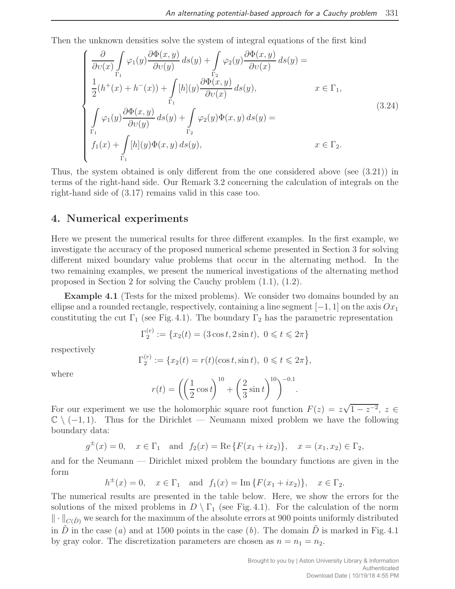Then the unknown densities solve the system of integral equations of the first kind

$$
\begin{cases}\n\frac{\partial}{\partial v(x)} \int_{\Gamma_1} \varphi_1(y) \frac{\partial \Phi(x, y)}{\partial v(y)} ds(y) + \int_{\Gamma_2} \varphi_2(y) \frac{\partial \Phi(x, y)}{\partial v(x)} ds(y) = \\
\frac{1}{2} (h^+(x) + h^-(x)) + \int_{\Gamma_1} [h](y) \frac{\partial \Phi(x, y)}{\partial v(x)} ds(y), & x \in \Gamma_1, \\
\int_{\Gamma_1} \varphi_1(y) \frac{\partial \Phi(x, y)}{\partial v(y)} ds(y) + \int_{\Gamma_2} \varphi_2(y) \Phi(x, y) ds(y) = \\
f_1(x) + \int_{\Gamma_1} [h](y) \Phi(x, y) ds(y), & x \in \Gamma_2.\n\end{cases}
$$
\n(3.24)

Thus, the system obtained is only different from the one considered above (see (3.21)) in terms of the right-hand side. Our Remark 3.2 concerning the calculation of integrals on the right-hand side of (3.17) remains valid in this case too.

### 4. Numerical experiments

Here we present the numerical results for three different examples. In the first example, we investigate the accuracy of the proposed numerical scheme presented in Section 3 for solving different mixed boundary value problems that occur in the alternating method. In the two remaining examples, we present the numerical investigations of the alternating method proposed in Section 2 for solving the Cauchy problem (1.1), (1.2).

Example 4.1 (Tests for the mixed problems). We consider two domains bounded by an ellipse and a rounded rectangle, respectively, containing a line segment  $[-1, 1]$  on the axis  $Ox_1$ constituting the cut  $\Gamma_1$  (see Fig. 4.1). The boundary  $\Gamma_2$  has the parametric representation

$$
\Gamma_2^{(e)} := \{ x_2(t) = (3\cos t, 2\sin t), \ 0 \le t \le 2\pi \}
$$

respectively

$$
\Gamma_2^{(r)} := \{ x_2(t) = r(t) (\cos t, \sin t), \ 0 \leq t \leq 2\pi \},
$$

where

$$
r(t) = \left( \left( \frac{1}{2} \cos t \right)^{10} + \left( \frac{2}{3} \sin t \right)^{10} \right)^{-0.1}.
$$

For our experiment we use the holomorphic square root function  $F(z) = z\sqrt{1-z^{-2}}$ ,  $z \in \mathbb{R}$  $\mathbb{C} \setminus (-1, 1)$ . Thus for the Dirichlet — Neumann mixed problem we have the following boundary data:

$$
g^{\pm}(x) = 0
$$
,  $x \in \Gamma_1$  and  $f_2(x) = \text{Re}\{F(x_1 + ix_2)\}\$ ,  $x = (x_1, x_2) \in \Gamma_2$ ,

and for the Neumann — Dirichlet mixed problem the boundary functions are given in the form

 $h^{\pm}(x) = 0$ ,  $x \in \Gamma_1$  and  $f_1(x) = \text{Im}\{F(x_1 + ix_2)\}, \quad x \in \Gamma_2$ .

The numerical results are presented in the table below. Here, we show the errors for the solutions of the mixed problems in  $D \setminus \Gamma_1$  (see Fig. 4.1). For the calculation of the norm  $\|\cdot\|_{C(\tilde{D})}$  we search for the maximum of the absolute errors at 900 points uniformly distributed in D in the case (a) and at 1500 points in the case (b). The domain D is marked in Fig. 4.1 by gray color. The discretization parameters are chosen as  $n = n_1 = n_2$ .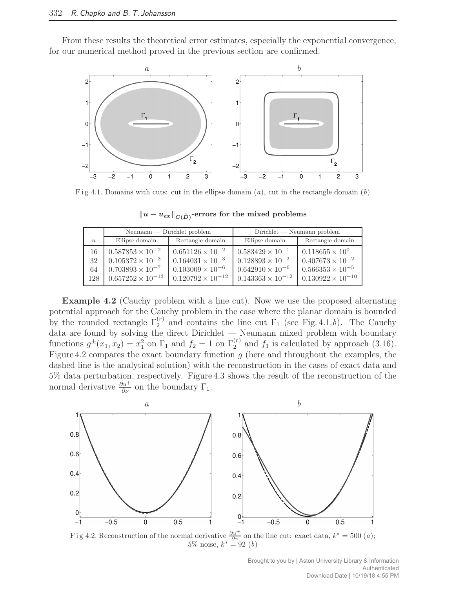From these results the theoretical error estimates, especially the exponential convergence, for our numerical method proved in the previous section are confirmed.



F i g 4.1. Domains with cuts: cut in the ellipse domain  $(a)$ , cut in the rectangle domain  $(b)$ 

|                       | $Neumann$ - Dirichlet problem                                                                                     |                                                                                                                   | $Dirichlet$ $\longrightarrow$ Neumann problem                                                                     |                                                                                                                  |
|-----------------------|-------------------------------------------------------------------------------------------------------------------|-------------------------------------------------------------------------------------------------------------------|-------------------------------------------------------------------------------------------------------------------|------------------------------------------------------------------------------------------------------------------|
| $n_{\rm c}$           | Ellipse domain                                                                                                    | Rectangle domain                                                                                                  | Ellipse domain                                                                                                    | Rectangle domain                                                                                                 |
| 16<br>32<br>64<br>128 | $0.587853 \times 10^{-2}$<br>$0.105372 \times 10^{-3}$<br>$0.703893 \times 10^{-7}$<br>$0.657252 \times 10^{-13}$ | $0.651126 \times 10^{-2}$<br>$0.164031 \times 10^{-3}$<br>$0.103009 \times 10^{-6}$<br>$0.120792 \times 10^{-12}$ | $0.583429 \times 10^{-1}$<br>$0.128893 \times 10^{-2}$<br>$0.642910 \times 10^{-6}$<br>$0.143363 \times 10^{-12}$ | $0.118655 \times 10^{0}$<br>$0.407673 \times 10^{-2}$<br>$0.566353 \times 10^{-5}$<br>$0.130922 \times 10^{-10}$ |

 $\|u - u_{ex}\|_{C(\tilde{D})}$ -errors for the mixed problems

Example 4.2 (Cauchy problem with a line cut). Now we use the proposed alternating potential approach for the Cauchy problem in the case where the planar domain is bounded by the rounded rectangle  $\Gamma_2^{(r)}$  and contains the line cut  $\Gamma_1$  (see Fig. 4.1,b). The Cauchy data are found by solving the direct Dirichlet — Neumann mixed problem with boundary functions  $g^{\pm}(x_1, x_2) = x_1^2$  on  $\Gamma_1$  and  $f_2 = 1$  on  $\Gamma_2^{(r)}$  and  $f_1$  is calculated by approach (3.16). Figure 4.2 compares the exact boundary function  $g$  (here and throughout the examples, the dashed line is the analytical solution) with the reconstruction in the cases of exact data and 5% data perturbation, respectively. Figure 4.3 shows the result of the reconstruction of the normal derivative  $\frac{\partial u^+}{\partial \nu}$  on the boundary  $\Gamma_1$ .



Fig 4.2. Reconstruction of the normal derivative  $\frac{\partial u^+}{\partial v}$  on the line cut: exact data,  $k^* = 500$  (*a*); 5% noise,  $k^* = 92$  (*b*)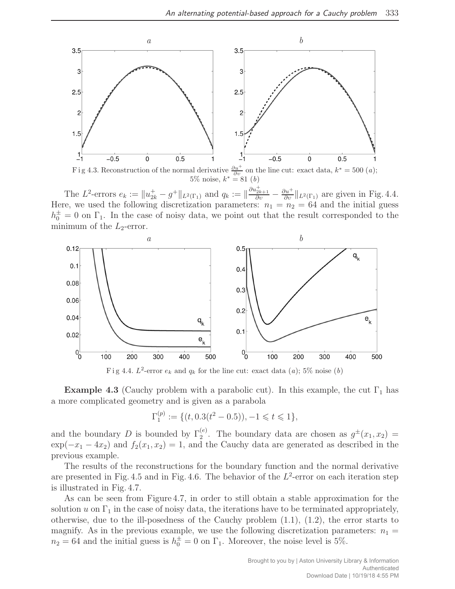

Fig 4.3. Reconstruction of the normal derivative  $\frac{\partial u^+}{\partial v}$  on the line cut: exact data,  $k^* = 500$  (*a*); 5% noise,  $k^* = 81$  (*b*)

The L<sup>2</sup>-errors  $e_k := \|u_{2k}^+ - g^+\|_{L^2(\Gamma_1)}$  and  $q_k := \|\frac{\partial u_{2k+1}^+}{\partial v} - \frac{\partial u^+}{\partial v}\|_{L^2(\Gamma_1)}$  are given in Fig. 4.4. Here, we used the following discretization parameters:  $n_1 = n_2 = 64$  and the initial guess  $h_0^{\pm} = 0$  on  $\Gamma_1$ . In the case of noisy data, we point out that the result corresponded to the minimum of the  $L_2$ -error.



Fig 4.4.  $L^2$ -error  $e_k$  and  $q_k$  for the line cut: exact data  $(a)$ ; 5% noise  $(b)$ 

**Example 4.3** (Cauchy problem with a parabolic cut). In this example, the cut  $\Gamma_1$  has a more complicated geometry and is given as a parabola

$$
\Gamma_1^{(p)} := \{ (t, 0.3(t^2 - 0.5)), -1 \leq t \leq 1 \},\
$$

and the boundary D is bounded by  $\Gamma_2^{(e)}$ . The boundary data are chosen as  $g^{\pm}(x_1, x_2)$  =  $\exp(-x_1 - 4x_2)$  and  $f_2(x_1, x_2) = 1$ , and the Cauchy data are generated as described in the previous example.

The results of the reconstructions for the boundary function and the normal derivative are presented in Fig. 4.5 and in Fig. 4.6. The behavior of the  $L^2$ -error on each iteration step is illustrated in Fig. 4.7.

As can be seen from Figure 4.7, in order to still obtain a stable approximation for the solution u on  $\Gamma_1$  in the case of noisy data, the iterations have to be terminated appropriately, otherwise, due to the ill-posedness of the Cauchy problem  $(1.1)$ ,  $(1.2)$ , the error starts to magnify. As in the previous example, we use the following discretization parameters:  $n_1 =$  $n_2 = 64$  and the initial guess is  $h_0^{\pm} = 0$  on  $\Gamma_1$ . Moreover, the noise level is 5%.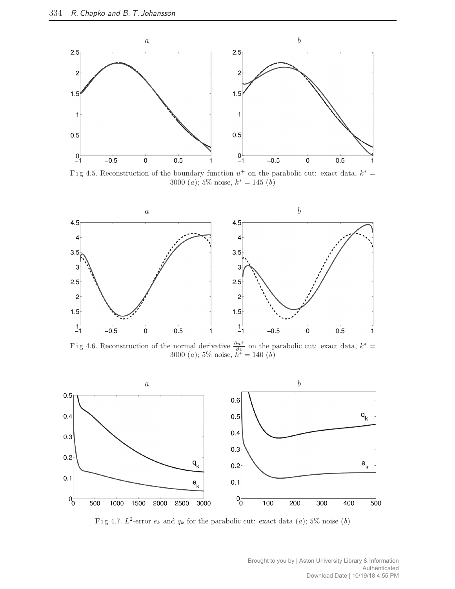

Fig 4.5. Reconstruction of the boundary function  $u^+$  on the parabolic cut: exact data,  $k^* =$ 3000 (*a*); 5% noise,  $k^* = 145$  (*b*)



Fig 4.6. Reconstruction of the normal derivative  $\frac{\partial u^+}{\partial v}$  on the parabolic cut: exact data,  $k^* =$ 3000 (*a*); 5% noise,  $k^* = 140$  (*b*)



Fig 4.7.  $L^2$ -error  $e_k$  and  $q_k$  for the parabolic cut: exact data (a); 5% noise (b)